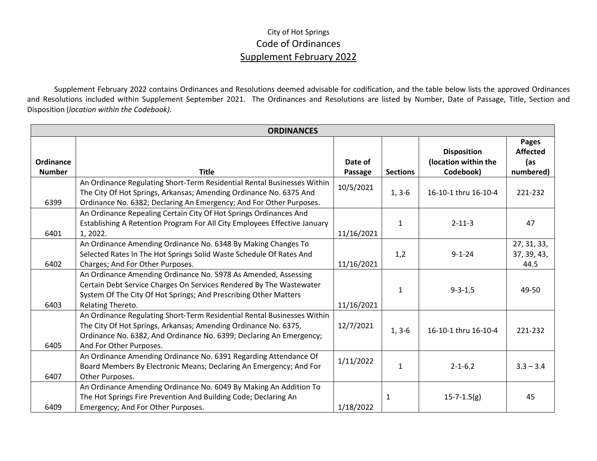## City of Hot Springs Code of Ordinances Supplement February 2022

Supplement February 2022 contains Ordinances and Resolutions deemed advisable for codification, and the table below lists the approved Ordinances and Resolutions included within Supplement September 2021. The Ordinances and Resolutions are listed by Number, Date of Passage, Title, Section and Disposition (*location within the Codebook).*

| <b>ORDINANCES</b>                 |                                                                                                                                                                                                                                              |                    |                 |                                                         |                                              |  |  |  |
|-----------------------------------|----------------------------------------------------------------------------------------------------------------------------------------------------------------------------------------------------------------------------------------------|--------------------|-----------------|---------------------------------------------------------|----------------------------------------------|--|--|--|
| <b>Ordinance</b><br><b>Number</b> | <b>Title</b>                                                                                                                                                                                                                                 | Date of<br>Passage | <b>Sections</b> | <b>Disposition</b><br>(location within the<br>Codebook) | Pages<br><b>Affected</b><br>(as<br>numbered) |  |  |  |
| 6399                              | An Ordinance Regulating Short-Term Residential Rental Businesses Within<br>The City Of Hot Springs, Arkansas; Amending Ordinance No. 6375 And<br>Ordinance No. 6382; Declaring An Emergency; And For Other Purposes.                         | 10/5/2021          | $1, 3-6$        | 16-10-1 thru 16-10-4                                    | 221-232                                      |  |  |  |
| 6401                              | An Ordinance Repealing Certain City Of Hot Springs Ordinances And<br>Establishing A Retention Program For All City Employees Effective January<br>1, 2022.                                                                                   | 11/16/2021         | $\mathbf{1}$    | $2 - 11 - 3$                                            | 47                                           |  |  |  |
| 6402                              | An Ordinance Amending Ordinance No. 6348 By Making Changes To<br>Selected Rates In The Hot Springs Solid Waste Schedule Of Rates And<br>Charges; And For Other Purposes.                                                                     | 11/16/2021         | 1,2             | $9 - 1 - 24$                                            | 27, 31, 33,<br>37, 39, 43,<br>44.5           |  |  |  |
| 6403                              | An Ordinance Amending Ordinance No. 5978 As Amended, Assessing<br>Certain Debt Service Charges On Services Rendered By The Wastewater<br>System Of The City Of Hot Springs; And Prescribing Other Matters<br>Relating Thereto.               | 11/16/2021         | $\mathbf{1}$    | $9 - 3 - 1.5$                                           | 49-50                                        |  |  |  |
| 6405                              | An Ordinance Regulating Short-Term Residential Rental Businesses Within<br>The City Of Hot Springs, Arkansas; Amending Ordinance No. 6375,<br>Ordinance No. 6382, And Ordinance No. 6399; Declaring An Emergency;<br>And For Other Purposes. | 12/7/2021          | $1, 3-6$        | 16-10-1 thru 16-10-4                                    | 221-232                                      |  |  |  |
| 6407                              | An Ordinance Amending Ordinance No. 6391 Regarding Attendance Of<br>Board Members By Electronic Means; Declaring An Emergency; And For<br>Other Purposes.                                                                                    | 1/11/2022          | $\mathbf{1}$    | $2 - 1 - 6.2$                                           | $3.3 - 3.4$                                  |  |  |  |
| 6409                              | An Ordinance Amending Ordinance No. 6049 By Making An Addition To<br>The Hot Springs Fire Prevention And Building Code; Declaring An<br>Emergency; And For Other Purposes.                                                                   | 1/18/2022          | 1               | $15 - 7 - 1.5(g)$                                       | 45                                           |  |  |  |